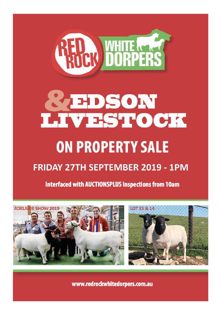

# **REDSON<br>LIVESTOCK**

## **ON PROPERTY SALE**

### **FRIDAY 27TH SEPTEMBER 2019 - 1PM**

**Interfaced with AUCTIONSPLUS Inspections from 10am** 





www.redrockwhitedorpers.com.au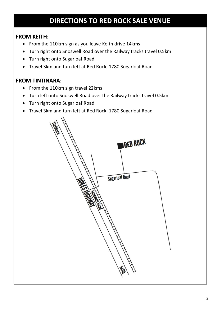#### **DIRECTIONS TO RED ROCK SALE VENUE**

#### **FROM KEITH:**

- From the 110km sign as you leave Keith drive 14kms
- Turn right onto Snoswell Road over the Railway tracks travel 0.5km
- Turn right onto Sugarloaf Road
- Travel 3km and turn left at Red Rock, 1780 Sugarloaf Road

#### **FROM TINTINARA:**

- From the 110km sign travel 22kms
- Turn left onto Snoswell Road over the Railway tracks travel 0.5km
- Turn right onto Sugarloaf Road
- Travel 3km and turn left at Red Rock, 1780 Sugarloaf Road

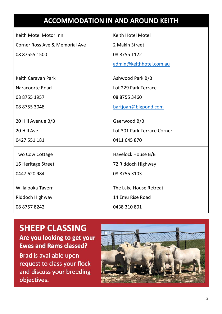|                                | <b>ACCOMMODATION IN AND AROUND KEITH</b> |
|--------------------------------|------------------------------------------|
| Keith Motel Motor Inn          | Keith Hotel Motel                        |
| Corner Ross Ave & Memorial Ave | 2 Makin Street                           |
| 08 87555 1500                  | 08 8755 1122                             |
|                                | admin@keithhotel.com.au                  |
| Keith Caravan Park             | Ashwood Park B/B                         |
| Naracoorte Road                | Lot 229 Park Terrace                     |
| 08 8755 1957                   | 08 8755 3460                             |
| 08 8755 3048                   | bartjoan@bigpond.com                     |
| 20 Hill Avenue B/B             | Gaerwood B/B                             |
| 20 Hill Ave                    | Lot 301 Park Terrace Corner              |
| 0427 551 181                   | 0411 645 870                             |
| Two Cow Cottage                | Havelock House B/B                       |
| 16 Heritage Street             | 72 Riddoch Highway                       |
| 0447 620 984                   | 08 8755 3103                             |
| Willalooka Tavern              | The Lake House Retreat                   |
| Riddoch Highway                | 14 Emu Rise Road                         |
| 08 8757 8242                   | 0438 310 801                             |
|                                |                                          |

#### **SHEEP CLASSING**

Are you looking to get your **Ewes and Rams classed?** 

Brad is available upon request to class your flock and discuss your breeding objectives.

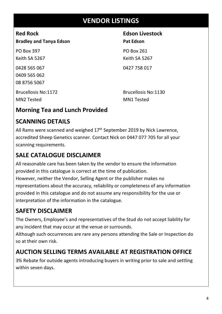#### **VENDOR LISTINGS**

**Bradley and Tanya Edson** Pat Edson

PO Box 397 PO Box 261 Keith SA 5267 Keith SA 5267 0428 565 067 0427 758 017 0409 565 062 08 8756 5067

## **Red Rock Edson Livestock**

MN2 Tested MN1 Tested

Brucellosis No:1172 Brucellosis No:1130

#### **Morning Tea and Lunch Provided**

#### **SCANNING DETAILS**

All Rams were scanned and weighed  $17<sup>th</sup>$  September 2019 by Nick Lawrence, accredited Sheep Genetics scanner. Contact Nick on 0447 077 705 for all your scanning requirements.

#### **SALE CATALOGUE DISCLAIMER**

All reasonable care has been taken by the vendor to ensure the information provided in this catalogue is correct at the time of publication. However, neither the Vendor, Selling Agent or the publisher makes no representations about the accuracy, reliability or completeness of any information provided in this catalogue and do not assume any responsibility for the use or interpretation of the information in the catalogue.

#### **SAFETY DISCLAIMER**

The Owners, Employee's and representatives of the Stud do not accept liability for any incident that may occur at the venue or surrounds.

Although such occurrences are rare any persons attending the Sale or Inspection do so at their own risk.

#### **AUCTION SELLING TERMS AVAILABLE AT REGISTRATION OFFICE**

3% Rebate for outside agents introducing buyers in writing prior to sale and settling within seven days.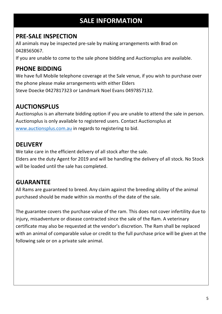#### **SALE INFORMATION**

#### **PRE-SALE INSPECTION**

All animals may be inspected pre-sale by making arrangements with Brad on 0428565067.

If you are unable to come to the sale phone bidding and Auctionsplus are available.

#### **PHONE BIDDING**

We have full Mobile telephone coverage at the Sale venue, if you wish to purchase over the phone please make arrangements with either Elders Steve Doecke 0427817323 or Landmark Noel Evans 0497857132.

#### **AUCTIONSPLUS**

Auctionsplus is an alternate bidding option if you are unable to attend the sale in person. Auctionsplus is only available to registered users. Contact Auctionsplus at www.auctionsplus.com.au in regards to registering to bid.

#### **DELIVERY**

We take care in the efficient delivery of all stock after the sale.

Elders are the duty Agent for 2019 and will be handling the delivery of all stock. No Stock will be loaded until the sale has completed.

#### **GUARANTEE**

All Rams are guaranteed to breed. Any claim against the breeding ability of the animal purchased should be made within six months of the date of the sale.

The guarantee covers the purchase value of the ram. This does not cover infertility due to injury, misadventure or disease contracted since the sale of the Ram. A veterinary certificate may also be requested at the vendor's discretion. The Ram shall be replaced with an animal of comparable value or credit to the full purchase price will be given at the following sale or on a private sale animal.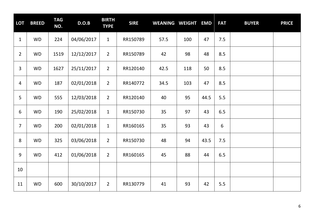| <b>LOT</b>     | <b>BREED</b> | <b>TAG</b><br>NO. | D.O.B      | <b>BIRTH</b><br><b>TYPE</b> | <b>SIRE</b> | <b>WEANING WEIGHT</b> |     | <b>EMD</b> | <b>FAT</b> | <b>BUYER</b> | <b>PRICE</b> |
|----------------|--------------|-------------------|------------|-----------------------------|-------------|-----------------------|-----|------------|------------|--------------|--------------|
| $\mathbf{1}$   | <b>WD</b>    | 224               | 04/06/2017 | $\mathbf{1}$                | RR150789    | 57.5                  | 100 | 47         | 7.5        |              |              |
| $\overline{2}$ | <b>WD</b>    | 1519              | 12/12/2017 | $\overline{2}$              | RR150789    | 42                    | 98  | 48         | 8.5        |              |              |
| $\overline{3}$ | <b>WD</b>    | 1627              | 25/11/2017 | $\overline{2}$              | RR120140    | 42.5                  | 118 | 50         | 8.5        |              |              |
| 4              | <b>WD</b>    | 187               | 02/01/2018 | $\overline{2}$              | RR140772    | 34.5                  | 103 | 47         | 8.5        |              |              |
| 5              | <b>WD</b>    | 555               | 12/03/2018 | $\overline{2}$              | RR120140    | 40                    | 95  | 44.5       | 5.5        |              |              |
| 6              | <b>WD</b>    | 190               | 25/02/2018 | $\mathbf{1}$                | RR150730    | 35                    | 97  | 43         | 6.5        |              |              |
| $\overline{7}$ | <b>WD</b>    | 200               | 02/01/2018 | $\mathbf 1$                 | RR160165    | 35                    | 93  | 43         | $6\,$      |              |              |
| 8              | <b>WD</b>    | 325               | 03/06/2018 | $\overline{2}$              | RR150730    | 48                    | 94  | 43.5       | 7.5        |              |              |
| 9              | <b>WD</b>    | 412               | 01/06/2018 | $\overline{2}$              | RR160165    | 45                    | 88  | 44         | 6.5        |              |              |
| 10             |              |                   |            |                             |             |                       |     |            |            |              |              |
| 11             | <b>WD</b>    | 600               | 30/10/2017 | $\overline{2}$              | RR130779    | 41                    | 93  | 42         | 5.5        |              |              |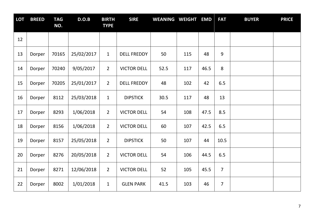| <b>LOT</b> | <b>BREED</b> | <b>TAG</b><br>NO. | D.O.B      | <b>BIRTH</b><br><b>TYPE</b> | <b>SIRE</b>        | <b>WEANING WEIGHT</b> |     | <b>EMD</b> | <b>FAT</b>     | <b>BUYER</b> | <b>PRICE</b> |
|------------|--------------|-------------------|------------|-----------------------------|--------------------|-----------------------|-----|------------|----------------|--------------|--------------|
| 12         |              |                   |            |                             |                    |                       |     |            |                |              |              |
| 13         | Dorper       | 70165             | 25/02/2017 | $\mathbf{1}$                | <b>DELL FREDDY</b> | 50                    | 115 | 48         | 9              |              |              |
| 14         | Dorper       | 70240             | 9/05/2017  | $\overline{2}$              | <b>VICTOR DELL</b> | 52.5                  | 117 | 46.5       | 8              |              |              |
| 15         | Dorper       | 70205             | 25/01/2017 | $\overline{2}$              | <b>DELL FREDDY</b> | 48                    | 102 | 42         | 6.5            |              |              |
| 16         | Dorper       | 8112              | 25/03/2018 | $\mathbf{1}$                | <b>DIPSTICK</b>    | 30.5                  | 117 | 48         | 13             |              |              |
| 17         | Dorper       | 8293              | 1/06/2018  | $\overline{2}$              | <b>VICTOR DELL</b> | 54                    | 108 | 47.5       | 8.5            |              |              |
| 18         | Dorper       | 8156              | 1/06/2018  | $\overline{2}$              | <b>VICTOR DELL</b> | 60                    | 107 | 42.5       | 6.5            |              |              |
| 19         | Dorper       | 8157              | 25/05/2018 | $\overline{2}$              | <b>DIPSTICK</b>    | 50                    | 107 | 44         | 10.5           |              |              |
| 20         | Dorper       | 8276              | 20/05/2018 | $\overline{2}$              | <b>VICTOR DELL</b> | 54                    | 106 | 44.5       | 6.5            |              |              |
| 21         | Dorper       | 8271              | 12/06/2018 | $\overline{2}$              | <b>VICTOR DELL</b> | 52                    | 105 | 45.5       | $\overline{7}$ |              |              |
| 22         | Dorper       | 8002              | 1/01/2018  | $\mathbf{1}$                | <b>GLEN PARK</b>   | 41.5                  | 103 | 46         | $\overline{7}$ |              |              |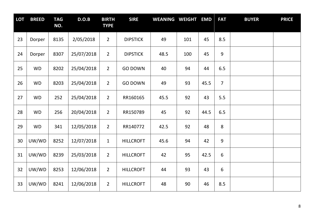| <b>LOT</b> | <b>BREED</b> | <b>TAG</b><br>NO. | D.O.B      | <b>BIRTH</b><br><b>TYPE</b> | <b>SIRE</b>      | <b>WEANING WEIGHT</b> |     | <b>EMD</b> | <b>FAT</b>     | <b>BUYER</b> | <b>PRICE</b> |
|------------|--------------|-------------------|------------|-----------------------------|------------------|-----------------------|-----|------------|----------------|--------------|--------------|
| 23         | Dorper       | 8135              | 2/05/2018  | $\overline{2}$              | <b>DIPSTICK</b>  | 49                    | 101 | 45         | 8.5            |              |              |
| 24         | Dorper       | 8307              | 25/07/2018 | $\overline{2}$              | <b>DIPSTICK</b>  | 48.5                  | 100 | 45         | $\overline{9}$ |              |              |
| 25         | <b>WD</b>    | 8202              | 25/04/2018 | $\overline{2}$              | <b>GO DOWN</b>   | 40                    | 94  | 44         | 6.5            |              |              |
| 26         | <b>WD</b>    | 8203              | 25/04/2018 | $\overline{2}$              | <b>GO DOWN</b>   | 49                    | 93  | 45.5       | $\overline{7}$ |              |              |
| 27         | <b>WD</b>    | 252               | 25/04/2018 | $\overline{2}$              | RR160165         | 45.5                  | 92  | 43         | 5.5            |              |              |
| 28         | <b>WD</b>    | 256               | 20/04/2018 | $\overline{2}$              | RR150789         | 45                    | 92  | 44.5       | 6.5            |              |              |
| 29         | <b>WD</b>    | 341               | 12/05/2018 | $\overline{2}$              | RR140772         | 42.5                  | 92  | 48         | $\,8\,$        |              |              |
| 30         | UW/WD        | 8252              | 12/07/2018 | $\mathbf{1}$                | <b>HILLCROFT</b> | 45.6                  | 94  | 42         | 9              |              |              |
| 31         | UW/WD        | 8239              | 25/03/2018 | $\overline{2}$              | <b>HILLCROFT</b> | 42                    | 95  | 42.5       | 6              |              |              |
| 32         | UW/WD        | 8253              | 12/06/2018 | $\overline{2}$              | <b>HILLCROFT</b> | 44                    | 93  | 43         | 6              |              |              |
| 33         | UW/WD        | 8241              | 12/06/2018 | $\overline{2}$              | <b>HILLCROFT</b> | 48                    | 90  | 46         | 8.5            |              |              |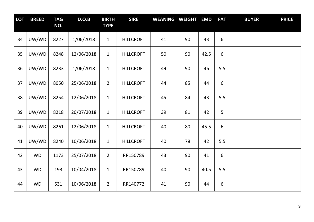| <b>LOT</b> | <b>BREED</b> | <b>TAG</b><br>NO. | D.O.B      | <b>BIRTH</b><br><b>TYPE</b> | <b>SIRE</b>      | <b>WEANING WEIGHT</b> |    | <b>EMD</b> | <b>FAT</b> | <b>BUYER</b> | <b>PRICE</b> |
|------------|--------------|-------------------|------------|-----------------------------|------------------|-----------------------|----|------------|------------|--------------|--------------|
| 34         | UW/WD        | 8227              | 1/06/2018  | $\mathbf{1}$                | <b>HILLCROFT</b> | 41                    | 90 | 43         | 6          |              |              |
| 35         | UW/WD        | 8248              | 12/06/2018 | $\mathbf{1}$                | <b>HILLCROFT</b> | 50                    | 90 | 42.5       | $6\,$      |              |              |
| 36         | UW/WD        | 8233              | 1/06/2018  | $\mathbf{1}$                | <b>HILLCROFT</b> | 49                    | 90 | 46         | 5.5        |              |              |
| 37         | UW/WD        | 8050              | 25/06/2018 | $\overline{2}$              | <b>HILLCROFT</b> | 44                    | 85 | 44         | 6          |              |              |
| 38         | UW/WD        | 8254              | 12/06/2018 | $\mathbf{1}$                | <b>HILLCROFT</b> | 45                    | 84 | 43         | 5.5        |              |              |
| 39         | UW/WD        | 8218              | 20/07/2018 | $\mathbf{1}$                | <b>HILLCROFT</b> | 39                    | 81 | 42         | 5          |              |              |
| 40         | UW/WD        | 8261              | 12/06/2018 | $\mathbf{1}$                | <b>HILLCROFT</b> | 40                    | 80 | 45.5       | $6\,$      |              |              |
| 41         | UW/WD        | 8240              | 10/06/2018 | $\mathbf{1}$                | <b>HILLCROFT</b> | 40                    | 78 | 42         | 5.5        |              |              |
| 42         | <b>WD</b>    | 1173              | 25/07/2018 | $\overline{2}$              | RR150789         | 43                    | 90 | 41         | 6          |              |              |
| 43         | <b>WD</b>    | 193               | 10/04/2018 | $\mathbf{1}$                | RR150789         | 40                    | 90 | 40.5       | 5.5        |              |              |
| 44         | <b>WD</b>    | 531               | 10/06/2018 | $\overline{2}$              | RR140772         | 41                    | 90 | 44         | 6          |              |              |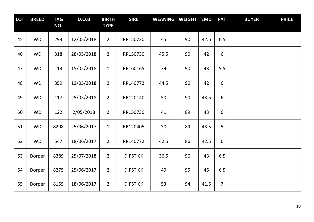| <b>LOT</b> | <b>BREED</b> | <b>TAG</b><br>NO. | D.O.B      | <b>BIRTH</b><br><b>TYPE</b> | <b>SIRE</b>     | <b>WEANING WEIGHT</b> |    | <b>EMD</b> | <b>FAT</b>     | <b>BUYER</b> | <b>PRICE</b> |
|------------|--------------|-------------------|------------|-----------------------------|-----------------|-----------------------|----|------------|----------------|--------------|--------------|
| 45         | <b>WD</b>    | 293               | 12/05/2018 | $\overline{2}$              | RR150730        | 45                    | 90 | 42.5       | 6.5            |              |              |
| 46         | <b>WD</b>    | 318               | 28/05/2018 | $\overline{2}$              | RR150730        | 45.5                  | 90 | 42         | 6              |              |              |
| 47         | <b>WD</b>    | 113               | 15/05/2018 | $\mathbf{1}$                | RR160165        | 39                    | 90 | 43         | 5.5            |              |              |
| 48         | <b>WD</b>    | 359               | 12/05/2018 | $\overline{2}$              | RR140772        | 44.5                  | 90 | 42         | 6              |              |              |
| 49         | <b>WD</b>    | 117               | 25/05/2018 | $\overline{2}$              | RR120140        | 50                    | 90 | 43.5       | 6              |              |              |
| 50         | <b>WD</b>    | 122               | 2/05/2018  | $\overline{2}$              | RR150730        | 41                    | 89 | 43         | 6              |              |              |
| 51         | <b>WD</b>    | 8208              | 25/06/2017 | $\mathbf{1}$                | RR120405        | 30                    | 89 | 43.5       | 5              |              |              |
| 52         | <b>WD</b>    | 547               | 18/06/2017 | $\overline{2}$              | RR140772        | 42.5                  | 86 | 42.5       | 6              |              |              |
| 53         | Dorper       | 8389              | 25/07/2018 | $\overline{2}$              | <b>DIPSTICK</b> | 36.5                  | 96 | 43         | 6.5            |              |              |
| 54         | Dorper       | 8275              | 25/06/2017 | $\overline{2}$              | <b>DIPSTICK</b> | 49                    | 95 | 45         | 6.5            |              |              |
| 55         | Dorper       | 8155              | 18/06/2017 | $\overline{2}$              | <b>DIPSTICK</b> | 53                    | 94 | 41.5       | $\overline{7}$ |              |              |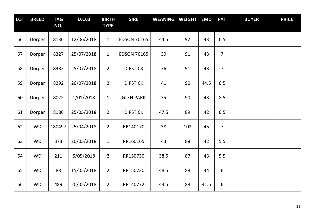| <b>LOT</b> | <b>BREED</b> | <b>TAG</b><br>NO. | D.O.B      | <b>BIRTH</b><br><b>TYPE</b> | <b>SIRE</b>        | <b>WEANING WEIGHT</b> |     | <b>EMD</b> | <b>FAT</b>     | <b>BUYER</b> | <b>PRICE</b> |
|------------|--------------|-------------------|------------|-----------------------------|--------------------|-----------------------|-----|------------|----------------|--------------|--------------|
| 56         | Dorper       | 8136              | 12/06/2018 | $\mathbf{1}$                | <b>EDSON 70165</b> | 44.5                  | 92  | 43         | 6.5            |              |              |
| 57         | Dorper       | 8327              | 25/07/2018 | $\mathbf{1}$                | <b>EDSON 70165</b> | 39                    | 91  | 43         | $\overline{7}$ |              |              |
| 58         | Dorper       | 8382              | 25/07/2018 | $\overline{2}$              | <b>DIPSTICK</b>    | 36                    | 91  | 43         | $\overline{7}$ |              |              |
| 59         | Dorper       | 8292              | 20/07/2018 | $\overline{2}$              | <b>DIPSTICK</b>    | 41                    | 90  | 44.5       | 6.5            |              |              |
| 60         | Dorper       | 8022              | 1/01/2018  | $\mathbf{1}$                | <b>GLEN PARK</b>   | 35                    | 90  | 43         | 8.5            |              |              |
| 61         | Dorper       | 8186              | 25/05/2018 | $\overline{2}$              | <b>DIPSTICK</b>    | 47.5                  | 89  | 42         | 6.5            |              |              |
| 62         | <b>WD</b>    | 180497            | 25/04/2018 | $\overline{2}$              | RR140170           | 38                    | 102 | 45         | $\overline{7}$ |              |              |
| 63         | <b>WD</b>    | 373               | 20/05/2018 | $\mathbf{1}$                | RR160165           | 43                    | 88  | 42         | 5.5            |              |              |
| 64         | <b>WD</b>    | 211               | 5/05/2018  | $\overline{2}$              | RR150730           | 38.5                  | 87  | 43         | 5.5            |              |              |
| 65         | <b>WD</b>    | 88                | 15/05/2018 | $\overline{2}$              | RR150730           | 48.5                  | 88  | 44         | 6              |              |              |
| 66         | <b>WD</b>    | 489               | 20/05/2018 | $\overline{2}$              | RR140772           | 43.5                  | 88  | 41.5       | 6              |              |              |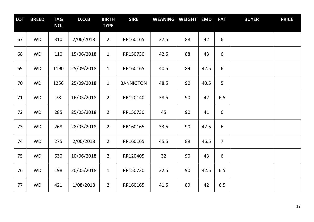| <b>LOT</b> | <b>BREED</b> | <b>TAG</b><br>NO. | D.O.B      | <b>BIRTH</b><br><b>TYPE</b> | <b>SIRE</b>      | <b>WEANING WEIGHT</b> |    | <b>EMD</b> | <b>FAT</b>     | <b>BUYER</b> | <b>PRICE</b> |
|------------|--------------|-------------------|------------|-----------------------------|------------------|-----------------------|----|------------|----------------|--------------|--------------|
| 67         | <b>WD</b>    | 310               | 2/06/2018  | $\overline{2}$              | RR160165         | 37.5                  | 88 | 42         | 6              |              |              |
| 68         | <b>WD</b>    | 110               | 15/06/2018 | $\mathbf{1}$                | RR150730         | 42.5                  | 88 | 43         | 6              |              |              |
| 69         | <b>WD</b>    | 1190              | 25/09/2018 | $\mathbf{1}$                | RR160165         | 40.5                  | 89 | 42.5       | 6              |              |              |
| 70         | <b>WD</b>    | 1256              | 25/09/2018 | $\mathbf{1}$                | <b>BANNIGTON</b> | 48.5                  | 90 | 40.5       | 5              |              |              |
| 71         | <b>WD</b>    | 78                | 16/05/2018 | $\overline{2}$              | RR120140         | 38.5                  | 90 | 42         | 6.5            |              |              |
| 72         | <b>WD</b>    | 285               | 25/05/2018 | $\overline{2}$              | RR150730         | 45                    | 90 | 41         | 6              |              |              |
| 73         | <b>WD</b>    | 268               | 28/05/2018 | $\overline{2}$              | RR160165         | 33.5                  | 90 | 42.5       | 6              |              |              |
| 74         | <b>WD</b>    | 275               | 2/06/2018  | $\overline{2}$              | RR160165         | 45.5                  | 89 | 46.5       | $\overline{7}$ |              |              |
| 75         | <b>WD</b>    | 630               | 10/06/2018 | $\overline{2}$              | RR120405         | 32                    | 90 | 43         | 6              |              |              |
| 76         | <b>WD</b>    | 198               | 20/05/2018 | $\mathbf{1}$                | RR150730         | 32.5                  | 90 | 42.5       | 6.5            |              |              |
| 77         | <b>WD</b>    | 421               | 1/08/2018  | $\overline{2}$              | RR160165         | 41.5                  | 89 | 42         | 6.5            |              |              |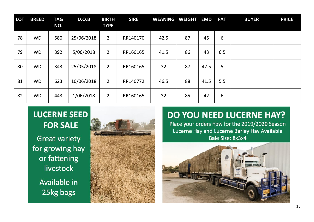| <b>LOT</b> | <b>BREED</b> | <b>TAG</b><br>NO. | D.O.B      | <b>BIRTH</b><br><b>TYPE</b> | <b>SIRE</b> | <b>WEANING</b> | <b>WEIGHT</b> | <b>EMD</b> | <b>FAT</b> | <b>BUYER</b> | <b>PRICE</b> |
|------------|--------------|-------------------|------------|-----------------------------|-------------|----------------|---------------|------------|------------|--------------|--------------|
| 78         | <b>WD</b>    | 580               | 25/06/2018 | $\overline{2}$              | RR140170    | 42.5           | 87            | 45         | 6          |              |              |
| 79         | <b>WD</b>    | 392               | 5/06/2018  | $\overline{2}$              | RR160165    | 41.5           | 86            | 43         | 6.5        |              |              |
| 80         | <b>WD</b>    | 343               | 25/05/2018 | $\overline{2}$              | RR160165    | 32             | 87            | 42.5       | 5          |              |              |
| 81         | <b>WD</b>    | 623               | 10/06/2018 | $\overline{2}$              | RR140772    | 46.5           | 88            | 41.5       | 5.5        |              |              |
| 82         | <b>WD</b>    | 443               | 1/06/2018  | $\overline{2}$              | RR160165    | 32             | 85            | 42         | 6          |              |              |

#### **LUCERNE SEED FOR SALE**

**Great variety** for growing hay or fattening livestock Available in 25kg bags



#### **DO YOU NEED LUCERNE HAY?**

Place your orders now for the 2019/2020 Season Lucerne Hay and Lucerne Barley Hay Available Bale Size: 8x3x4

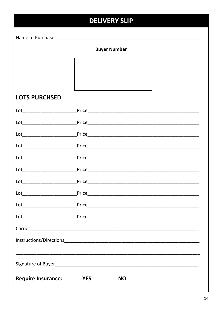|                           | <b>DELIVERY SLIP</b>    |
|---------------------------|-------------------------|
|                           |                         |
|                           | <b>Buyer Number</b>     |
|                           |                         |
|                           |                         |
|                           |                         |
| <b>LOTS PURCHSED</b>      |                         |
|                           |                         |
|                           |                         |
|                           |                         |
|                           |                         |
|                           |                         |
|                           |                         |
|                           |                         |
|                           |                         |
|                           |                         |
|                           |                         |
|                           |                         |
|                           |                         |
|                           |                         |
|                           |                         |
| <b>Require Insurance:</b> | <b>YES</b><br><b>NO</b> |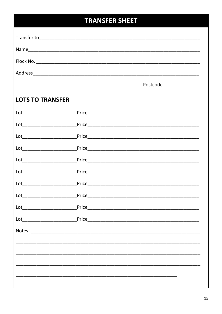#### **TRANSFER SHEET**

| <b>LOTS TO TRANSFER</b> |  |
|-------------------------|--|
|                         |  |
|                         |  |
|                         |  |
|                         |  |
|                         |  |
|                         |  |
|                         |  |
|                         |  |
|                         |  |
|                         |  |
|                         |  |
|                         |  |
|                         |  |
|                         |  |
|                         |  |